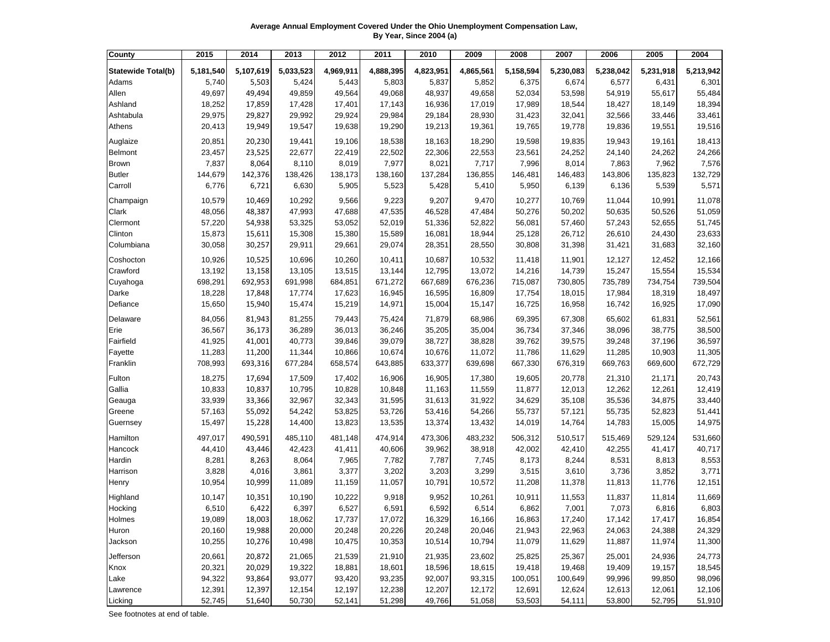**Average Annual Employment Covered Under the Ohio Unemployment Compensation Law, By Year, Since 2004 (a)**

| County                    | 2015      | 2014      | 2013      | 2012      | 2011      | 2010      | 2009      | 2008      | 2007      | 2006      | 2005      | 2004      |
|---------------------------|-----------|-----------|-----------|-----------|-----------|-----------|-----------|-----------|-----------|-----------|-----------|-----------|
| <b>Statewide Total(b)</b> | 5,181,540 | 5,107,619 | 5,033,523 | 4,969,911 | 4,888,395 | 4,823,951 | 4,865,561 | 5,158,594 | 5,230,083 | 5,238,042 | 5,231,918 | 5,213,942 |
| Adams                     | 5,740     | 5,503     | 5,424     | 5,443     | 5,803     | 5,837     | 5,852     | 6,375     | 6,674     | 6,577     | 6,431     | 6,301     |
| Allen                     | 49,697    | 49,494    | 49,859    | 49,564    | 49,068    | 48,937    | 49,658    | 52,034    | 53,598    | 54,919    | 55,617    | 55,484    |
| Ashland                   | 18,252    | 17,859    | 17,428    | 17,401    | 17,143    | 16,936    | 17,019    | 17,989    | 18,544    | 18,427    | 18,149    | 18,394    |
| Ashtabula                 | 29,975    | 29,827    | 29,992    | 29,924    | 29,984    | 29,184    | 28,930    | 31,423    | 32,041    | 32,566    | 33,446    | 33,461    |
| Athens                    | 20,413    | 19,949    | 19,547    | 19,638    | 19,290    | 19,213    | 19,361    | 19,765    | 19,778    | 19,836    | 19,551    | 19,516    |
|                           |           |           |           |           |           |           |           |           |           |           |           |           |
| Auglaize                  | 20,851    | 20,230    | 19,441    | 19,106    | 18,538    | 18,163    | 18,290    | 19,598    | 19,835    | 19,943    | 19,161    | 18,413    |
| <b>Belmont</b>            | 23,457    | 23,525    | 22,677    | 22,419    | 22,502    | 22,306    | 22,553    | 23,561    | 24,252    | 24,140    | 24,262    | 24,266    |
| <b>Brown</b>              | 7,837     | 8,064     | 8,110     | 8,019     | 7,977     | 8,021     | 7,717     | 7,996     | 8,014     | 7,863     | 7,962     | 7,576     |
| <b>Butler</b>             | 144,679   | 142,376   | 138,426   | 138,173   | 138,160   | 137,284   | 136,855   | 146,481   | 146,483   | 143,806   | 135,823   | 132,729   |
| Carroll                   | 6,776     | 6,721     | 6,630     | 5,905     | 5,523     | 5,428     | 5,410     | 5,950     | 6,139     | 6,136     | 5,539     | 5,571     |
| Champaign                 | 10,579    | 10,469    | 10,292    | 9,566     | 9,223     | 9,207     | 9,470     | 10,277    | 10,769    | 11,044    | 10,991    | 11,078    |
| Clark                     | 48,056    | 48,387    | 47,993    | 47,688    | 47,535    | 46,528    | 47,484    | 50,276    | 50,202    | 50,635    | 50,526    | 51,059    |
| Clermont                  | 57,220    | 54,938    | 53,325    | 53,052    | 52,019    | 51,336    | 52,822    | 56,081    | 57,460    | 57,243    | 52,655    | 51,745    |
| Clinton                   | 15,873    | 15,611    | 15,308    | 15,380    | 15,589    | 16,081    | 18,944    | 25,128    | 26,712    | 26,610    | 24,430    | 23,633    |
| Columbiana                | 30,058    | 30,257    | 29,911    | 29,661    | 29,074    | 28,351    | 28,550    | 30,808    | 31,398    | 31,421    | 31,683    | 32,160    |
| Coshocton                 | 10,926    | 10,525    | 10,696    | 10,260    | 10,411    | 10,687    | 10,532    | 11,418    | 11,901    | 12,127    | 12,452    | 12,166    |
| Crawford                  | 13,192    | 13,158    | 13,105    | 13,515    | 13,144    | 12,795    | 13,072    | 14,216    | 14,739    | 15,247    | 15,554    | 15,534    |
| Cuyahoga                  | 698,291   | 692,953   | 691,998   | 684,851   | 671,272   | 667,689   | 676,236   | 715,087   | 730,805   | 735,789   | 734,754   | 739,504   |
| Darke                     | 18,228    | 17,848    | 17,774    | 17,623    | 16,945    | 16,595    | 16,809    | 17,754    | 18,015    | 17,984    | 18,319    | 18,497    |
| Defiance                  | 15,650    | 15,940    | 15,474    | 15,219    | 14,971    | 15,004    | 15,147    | 16,725    | 16,958    | 16,742    | 16,925    | 17,090    |
| Delaware                  | 84,056    | 81,943    | 81,255    | 79,443    | 75,424    | 71,879    | 68,986    | 69,395    | 67,308    | 65,602    | 61,831    | 52,561    |
| Erie                      | 36,567    | 36,173    | 36,289    | 36,013    | 36,246    | 35,205    | 35,004    | 36,734    | 37,346    | 38,096    | 38,775    | 38,500    |
| Fairfield                 | 41,925    | 41,001    | 40,773    | 39,846    | 39,079    | 38,727    | 38,828    | 39,762    | 39,575    | 39,248    | 37,196    | 36,597    |
| Fayette                   | 11,283    | 11,200    | 11,344    | 10,866    | 10,674    | 10,676    | 11,072    | 11,786    | 11,629    | 11,285    | 10,903    | 11,305    |
| Franklin                  | 708,993   | 693,316   | 677,284   | 658,574   | 643,885   | 633,377   | 639,698   | 667,330   | 676,319   | 669,763   | 669,600   | 672,729   |
| Fulton                    | 18,275    | 17,694    | 17,509    | 17,402    | 16,906    | 16,905    | 17,380    | 19,605    | 20,778    | 21,310    | 21,171    | 20,743    |
| Gallia                    | 10,833    | 10,837    | 10,795    | 10,828    | 10,848    | 11,163    | 11,559    | 11,877    | 12,013    | 12,262    | 12,261    | 12,419    |
| Geauga                    | 33,939    | 33,366    | 32,967    | 32,343    | 31,595    | 31,613    | 31,922    | 34,629    | 35,108    | 35,536    | 34,875    | 33,440    |
| Greene                    | 57,163    | 55,092    | 54,242    | 53,825    | 53,726    | 53,416    | 54,266    | 55,737    | 57,121    | 55,735    | 52,823    | 51,441    |
| Guernsey                  | 15,497    | 15,228    | 14,400    | 13,823    | 13,535    | 13,374    | 13,432    | 14,019    | 14,764    | 14,783    | 15,005    | 14,975    |
| Hamilton                  | 497,017   | 490,591   | 485,110   | 481,148   | 474,914   | 473,306   | 483,232   | 506,312   | 510,517   | 515,469   | 529,124   | 531,660   |
| Hancock                   | 44,410    | 43,446    | 42,423    | 41,411    | 40,606    | 39,962    | 38,918    | 42,002    | 42,410    | 42,255    | 41,417    | 40,717    |
| Hardin                    | 8,281     | 8,263     | 8,064     | 7,965     | 7,782     | 7,787     | 7,745     | 8,173     | 8,244     | 8,531     | 8,813     | 8,553     |
| Harrison                  | 3,828     | 4,016     | 3,861     | 3,377     | 3,202     | 3,203     | 3,299     | 3,515     | 3,610     | 3,736     | 3,852     | 3,771     |
| Henry                     | 10,954    | 10,999    | 11,089    | 11,159    | 11,057    | 10,791    | 10,572    | 11,208    | 11,378    | 11,813    | 11,776    | 12,151    |
| Highland                  | 10,147    | 10,351    | 10,190    | 10,222    | 9,918     | 9,952     | 10,261    | 10,911    | 11,553    | 11,837    | 11,814    | 11,669    |
| Hocking                   | 6,510     | 6,422     | 6,397     | 6,527     | 6,591     | 6,592     | 6,514     | 6,862     | 7,001     | 7,073     | 6,816     | 6,803     |
| Holmes                    | 19,089    | 18,003    | 18,062    | 17,737    | 17,072    | 16,329    | 16,166    | 16,863    | 17,240    | 17,142    | 17,417    | 16,854    |
| Huron                     | 20,160    | 19,988    | 20,000    | 20,248    | 20,226    | 20,248    | 20,046    | 21,943    | 22,963    | 24,063    | 24,388    | 24,329    |
| Jackson                   | 10,255    | 10,276    | 10,498    | 10,475    | 10,353    | 10,514    | 10,794    | 11,079    | 11,629    | 11,887    | 11,974    | 11,300    |
| Jefferson                 | 20,661    | 20,872    | 21,065    | 21,539    | 21,910    | 21,935    | 23,602    | 25,825    | 25,367    | 25,001    | 24,936    | 24,773    |
| Knox                      | 20,321    | 20,029    | 19,322    | 18,881    | 18,601    | 18,596    | 18,615    | 19,418    | 19,468    | 19,409    | 19,157    | 18,545    |
| Lake                      | 94,322    | 93,864    | 93,077    | 93,420    | 93,235    | 92,007    | 93,315    | 100,051   | 100,649   | 99,996    | 99,850    | 98,096    |
| Lawrence                  | 12,391    | 12,397    | 12,154    | 12,197    | 12,238    | 12,207    | 12,172    | 12,691    | 12,624    | 12,613    | 12,061    | 12,106    |
| Licking                   | 52,745    | 51,640    | 50,730    | 52,141    | 51,298    | 49,766    | 51,058    | 53,503    | 54,111    | 53,800    | 52,795    | 51,910    |

See footnotes at end of table.